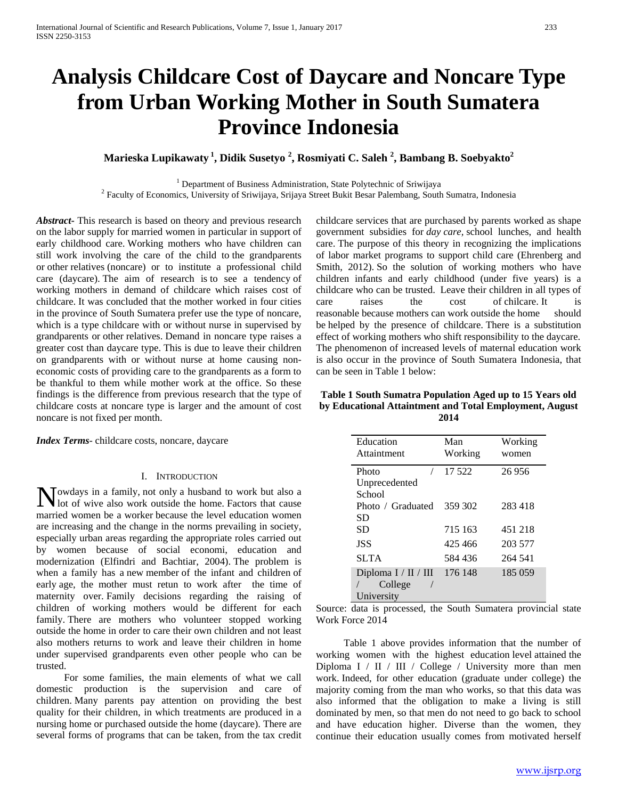# **Analysis Childcare Cost of Daycare and Noncare Type from Urban Working Mother in South Sumatera Province Indonesia**

**Marieska Lupikawaty <sup>1</sup> , Didik Susetyo <sup>2</sup> , Rosmiyati C. Saleh <sup>2</sup> , Bambang B. Soebyakto2**

<sup>1</sup> Department of Business Administration, State Polytechnic of Sriwijaya<br><sup>2</sup> Faculty of Economics, University of Sriwijaya, Srijaya Street Bukit Besar Palembang, South Sumatra, Indonesia

*Abstract***-** This research is based on theory and previous research on the labor supply for married women in particular in support of early childhood care. Working mothers who have children can still work involving the care of the child to the grandparents or other relatives (noncare) or to institute a professional child care (daycare). The aim of research is to see a tendency of working mothers in demand of childcare which raises cost of childcare. It was concluded that the mother worked in four cities in the province of South Sumatera prefer use the type of noncare, which is a type childcare with or without nurse in supervised by grandparents or other relatives. Demand in noncare type raises a greater cost than daycare type. This is due to leave their children on grandparents with or without nurse at home causing noneconomic costs of providing care to the grandparents as a form to be thankful to them while mother work at the office. So these findings is the difference from previous research that the type of childcare costs at noncare type is larger and the amount of cost noncare is not fixed per month.

*Index Terms*- childcare costs, noncare, daycare

#### I. INTRODUCTION

owdays in a family, not only a husband to work but also a Nowdays in a family, not only a husband to work but also a lot of wive also work outside the home. Factors that cause married women be a worker because the level education women are increasing and the change in the norms prevailing in society, especially urban areas regarding the appropriate roles carried out by women because of social economi, education and modernization (Elfindri and Bachtiar, 2004). The problem is when a family has a new member of the infant and children of early age, the mother must retun to work after the time of maternity over. Family decisions regarding the raising of children of working mothers would be different for each family. There are mothers who volunteer stopped working outside the home in order to care their own children and not least also mothers returns to work and leave their children in home under supervised grandparents even other people who can be trusted.

 For some families, the main elements of what we call domestic production is the supervision and care of children. Many parents pay attention on providing the best quality for their children, in which treatments are produced in a nursing home or purchased outside the home (daycare). There are several forms of programs that can be taken, from the tax credit

childcare services that are purchased by parents worked as shape government subsidies for *day care,* school lunches, and health care. The purpose of this theory in recognizing the implications of labor market programs to support child care (Ehrenberg and Smith, 2012). So the solution of working mothers who have children infants and early childhood (under five years) is a childcare who can be trusted. Leave their children in all types of care raises the cost of chilcare. It is reasonable because mothers can work outside the home should be helped by the presence of childcare. There is a substitution effect of working mothers who shift responsibility to the daycare. The phenomenon of increased levels of maternal education work is also occur in the province of South Sumatera Indonesia, that can be seen in Table 1 below:

## **Table 1 South Sumatra Population Aged up to 15 Years old by Educational Attaintment and Total Employment, August 2014**

| Education<br>Attaintment                        | Man<br>Working     | Working<br>women   |
|-------------------------------------------------|--------------------|--------------------|
| Photo<br>Unprecedented<br>School                | 17.522             | 26956              |
| Photo / Graduated<br>SD                         | 359 302            | 283 418            |
| SD                                              | 715 163            | 451 218            |
| <b>JSS</b>                                      | 425466             | 203 577            |
| <b>SLTA</b>                                     | 584 436<br>176 148 | 264 541<br>185 059 |
| Diploma $I / II / III$<br>College<br>University |                    |                    |

Source: data is processed, the South Sumatera provincial state Work Force 2014

 Table 1 above provides information that the number of working women with the highest education level attained the Diploma I / II / III / College / University more than men work. Indeed, for other education (graduate under college) the majority coming from the man who works, so that this data was also informed that the obligation to make a living is still dominated by men, so that men do not need to go back to school and have education higher. Diverse than the women, they continue their education usually comes from motivated herself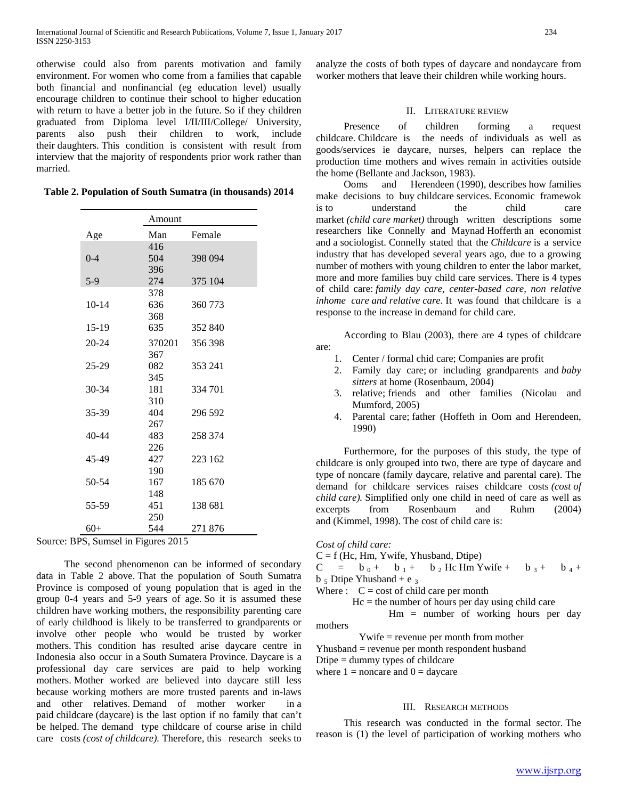otherwise could also from parents motivation and family environment. For women who come from a families that capable both financial and nonfinancial (eg education level) usually encourage children to continue their school to higher education with return to have a better job in the future. So if they children graduated from Diploma level I/II/III/College/ University, parents also push their children to work, include their daughters. This condition is consistent with result from interview that the majority of respondents prior work rather than married.

|  |  |  | Table 2. Population of South Sumatra (in thousands) 2014 |  |  |
|--|--|--|----------------------------------------------------------|--|--|
|--|--|--|----------------------------------------------------------|--|--|

|           | Amount |         |  |
|-----------|--------|---------|--|
| Age       | Man    | Female  |  |
|           | 416    |         |  |
| $0 - 4$   | 504    | 398 094 |  |
|           | 396    |         |  |
| $5-9$     | 274    | 375 104 |  |
|           | 378    |         |  |
| $10 - 14$ | 636    | 360 773 |  |
|           | 368    |         |  |
| 15-19     | 635    | 352 840 |  |
| $20 - 24$ | 370201 | 356 398 |  |
|           | 367    |         |  |
| $25 - 29$ | 082    | 353 241 |  |
|           | 345    |         |  |
| 30-34     | 181    | 334 701 |  |
|           | 310    |         |  |
| 35-39     | 404    | 296 592 |  |
|           | 267    |         |  |
| $40 - 44$ | 483    | 258 374 |  |
|           | 226    |         |  |
| 45-49     | 427    | 223 162 |  |
|           | 190    |         |  |
| 50-54     | 167    | 185 670 |  |
|           | 148    |         |  |
| 55-59     | 451    | 138 681 |  |
|           | 250    |         |  |
| $60+$     | 544    | 271876  |  |

Source: BPS, Sumsel in Figures 2015

 The second phenomenon can be informed of secondary data in Table 2 above. That the population of South Sumatra Province is composed of young population that is aged in the group 0-4 years and 5-9 years of age. So it is assumed these children have working mothers, the responsibility parenting care of early childhood is likely to be transferred to grandparents or involve other people who would be trusted by worker mothers. This condition has resulted arise daycare centre in Indonesia also occur in a South Sumatera Province. Daycare is a professional day care services are paid to help working mothers. Mother worked are believed into daycare still less because working mothers are more trusted parents and in-laws and other relatives. Demand of mother worker in a paid childcare (daycare) is the last option if no family that can't be helped. The demand type childcare of course arise in child care costs *(cost of childcare).* Therefore, this research seeks to analyze the costs of both types of daycare and nondaycare from worker mothers that leave their children while working hours.

#### II. LITERATURE REVIEW

 Presence of children forming a request childcare. Childcare is the needs of individuals as well as goods/services ie daycare, nurses, helpers can replace the production time mothers and wives remain in activities outside the home (Bellante and Jackson, 1983).

 Ooms and Herendeen (1990), describes how families make decisions to buy childcare services. Economic framewok is to understand the child care market *(child care market)* through written descriptions some researchers like Connelly and Maynad Hofferth an economist and a sociologist. Connelly stated that the *Childcare* is a service industry that has developed several years ago, due to a growing number of mothers with young children to enter the labor market, more and more families buy child care services. There is 4 types of child care: *family day care, center-based care, non relative inhome care and relative care.* It was found that childcare is a response to the increase in demand for child care.

 According to Blau (2003), there are 4 types of childcare are:

- 1. Center / formal chid care; Companies are profit
- 2. Family day care; or including grandparents and *baby sitters* at home (Rosenbaum, 2004)
- 3. relative; friends and other families (Nicolau and Mumford, 2005)
- 4. Parental care; father (Hoffeth in Oom and Herendeen, 1990)

 Furthermore, for the purposes of this study, the type of childcare is only grouped into two, there are type of daycare and type of noncare (family daycare, relative and parental care). The demand for childcare services raises childcare costs *(cost of child care).* Simplified only one child in need of care as well as excerpts from Rosenbaum and Ruhm (2004) and (Kimmel, 1998). The cost of child care is:

```
Cost of child care:
```
 $C = f$  (Hc, Hm, Ywife, Yhusband, Dtipe)

 $C = b_0 + b_1 + b_2$  Hc Hm Ywife + b 3 + b 4 +  $b_5$  Dtipe Yhusband + e 3

Where  $\colon C = \text{cost of child care per month}$ 

 $Hc$  = the number of hours per day using child care

 Hm = number of working hours per day mothers

Ywife = revenue per month from mother

Yhusband = revenue per month respondent husband

Dtipe  $=$  dummy types of childcare

where  $1 =$  noncare and  $0 =$  daycare

## III. RESEARCH METHODS

 This research was conducted in the formal sector. The reason is (1) the level of participation of working mothers who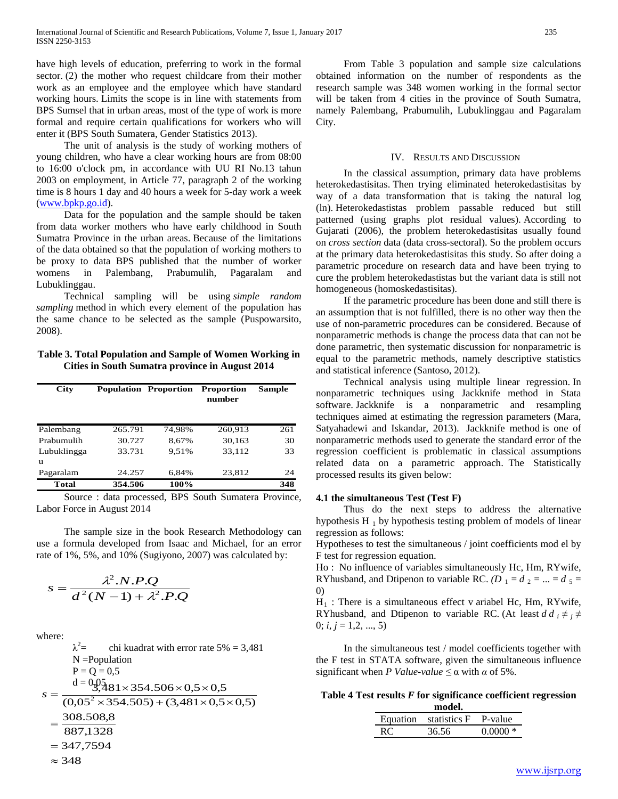have high levels of education, preferring to work in the formal sector. (2) the mother who request childcare from their mother work as an employee and the employee which have standard working hours. Limits the scope is in line with statements from BPS Sumsel that in urban areas, most of the type of work is more formal and require certain qualifications for workers who will enter it (BPS South Sumatera, Gender Statistics 2013).

 The unit of analysis is the study of working mothers of young children, who have a clear working hours are from 08:00 to 16:00 o'clock pm, in accordance with UU RI No.13 tahun 2003 on employment, in Article 77, paragraph 2 of the working time is 8 hours 1 day and 40 hours a week for 5-day work a week [\(www.bpkp.go.id\)](http://www.bpkp.go.id/).

 Data for the population and the sample should be taken from data worker mothers who have early childhood in South Sumatra Province in the urban areas. Because of the limitations of the data obtained so that the population of working mothers to be proxy to data BPS published that the number of worker womens in Palembang, Prabumulih, Pagaralam and Lubuklinggau.

 Technical sampling will be using *simple random sampling* method in which every element of the population has the same chance to be selected as the sample (Puspowarsito, 2008).

## **Table 3. Total Population and Sample of Women Working in Cities in South Sumatra province in August 2014**

| <b>City</b> |         | <b>Population Proportion</b> | <b>Proportion</b><br>number | <b>Sample</b> |
|-------------|---------|------------------------------|-----------------------------|---------------|
| Palembang   | 265.791 | 74.98%                       | 260,913                     | 261           |
| Prabumulih  | 30.727  | 8.67%                        | 30,163                      | 30            |
| Lubuklingga | 33.731  | 9.51%                        | 33,112                      | 33            |
| u           |         |                              |                             |               |
| Pagaralam   | 24.257  | 6,84%                        | 23,812                      | 24            |
| Total       | 354.506 | 100%                         |                             | 348           |

 Source : data processed, BPS South Sumatera Province, Labor Force in August 2014

 The sample size in the book Research Methodology can use a formula developed from Isaac and Michael, for an error rate of 1%, 5%, and 10% (Sugiyono, 2007) was calculated by:

$$
s = \frac{\lambda^2.N.P.Q}{d^2(N-1) + \lambda^2.P.Q}
$$

where:

 $\lambda^2$ chi kuadrat with error rate  $5\% = 3,481$ N =Population  $P = Q = 0.5$  $d = 0.05$  $= 347,7594$ 887,1328 308.508,8  $(0.05^2 \times 354.505) + (3.481 \times 0.5 \times 0.5)$  $\frac{3.03}{3.481}$ × 354.506 × 0,5 × 0,5  $s = \frac{d = 0.03381 \times 354.506 \times 0.5 \times 0.5}{(0.05^2 \times 354.505) + (3.481 \times 0.5 \times 0.5^2)}$ =

 From Table 3 population and sample size calculations obtained information on the number of respondents as the research sample was 348 women working in the formal sector will be taken from 4 cities in the province of South Sumatra, namely Palembang, Prabumulih, Lubuklinggau and Pagaralam City.

#### IV. RESULTS AND DISCUSSION

 In the classical assumption, primary data have problems heterokedastisitas. Then trying eliminated heterokedastisitas by way of a data transformation that is taking the natural log (ln). Heterokedastistas problem passable reduced but still patterned (using graphs plot residual values). According to Gujarati (2006), the problem heterokedastisitas usually found on *cross section* data (data cross-sectoral). So the problem occurs at the primary data heterokedastisitas this study. So after doing a parametric procedure on research data and have been trying to cure the problem heterokedastistas but the variant data is still not homogeneous (homoskedastisitas).

 If the parametric procedure has been done and still there is an assumption that is not fulfilled, there is no other way then the use of non-parametric procedures can be considered. Because of nonparametric methods is change the process data that can not be done parametric, then systematic discussion for nonparametric is equal to the parametric methods, namely descriptive statistics and statistical inference (Santoso, 2012).

 Technical analysis using multiple linear regression. In nonparametric techniques using Jackknife method in Stata software. Jackknife is a nonparametric and resampling techniques aimed at estimating the regression parameters (Mara, Satyahadewi and Iskandar, 2013). Jackknife method is one of nonparametric methods used to generate the standard error of the regression coefficient is problematic in classical assumptions related data on a parametric approach. The Statistically processed results its given below:

### **4.1 the simultaneous Test (Test F)**

 Thus do the next steps to address the alternative hypothesis H $_1$  by hypothesis testing problem of models of linear regression as follows:

Hypotheses to test the simultaneous / joint coefficients mod el by F test for regression equation.

Ho : No influence of variables simultaneously Hc, Hm, RYwife, RYhusband, and Dtipenon to variable RC.  $(D_1 = d_2 = ... = d_5 =$ 0)

 $H_1$ : There is a simultaneous effect v ariabel Hc, Hm, RYwife, RYhusband, and Dtipenon to variable RC. (At least  $d \, d_i \neq j \neq k$ 0;  $i, j = 1, 2, ..., 5$ )

 In the simultaneous test / model coefficients together with the F test in STATA software, given the simultaneous influence significant when *P Value-value*  $\leq \alpha$  with  $\alpha$  of 5%.

**Table 4 Test results** *F* **for significance coefficient regression** 

| model.                        |       |           |  |  |
|-------------------------------|-------|-----------|--|--|
| Equation statistics F P-value |       |           |  |  |
| RC.                           | 36.56 | $0.0000*$ |  |  |

 $\approx$  348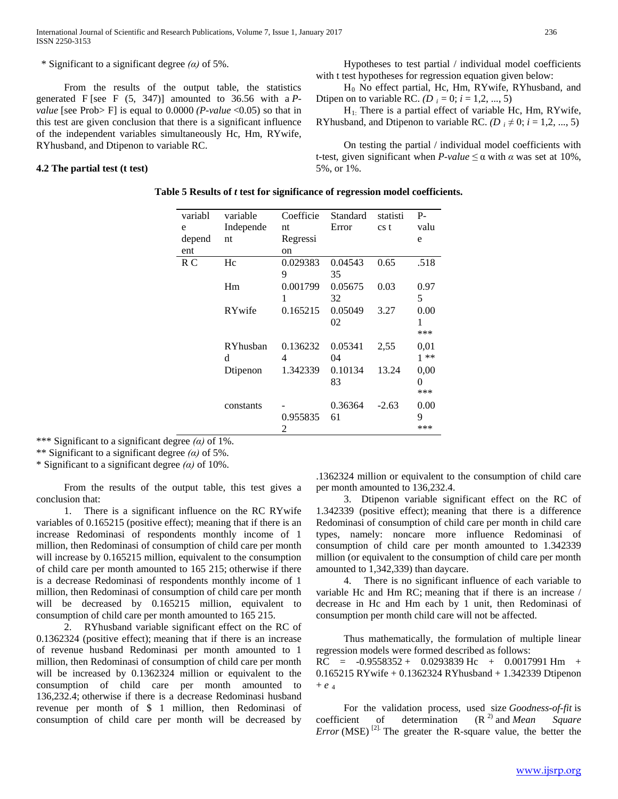\* Significant to a significant degree *(α)* of 5%.

 From the results of the output table, the statistics generated F [see F (5, 347)] amounted to 36.56 with a *Pvalue* [see Prob> F] is equal to  $0.0000$  *(P-value* <0.05) so that in this test are given conclusion that there is a significant influence of the independent variables simultaneously Hc, Hm, RYwife, RYhusband, and Dtipenon to variable RC.

### **4.2 The partial test (t test)**

 Hypotheses to test partial / individual model coefficients with t test hypotheses for regression equation given below:

 $H_0$  No effect partial, Hc, Hm, RYwife, RYhusband, and Dtipen on to variable RC. *(D*  $_i = 0$ ;  $i = 1, 2, ..., 5$ )

 $H<sub>1</sub>$ : There is a partial effect of variable Hc, Hm, RYwife, RYhusband, and Dtipenon to variable RC.  $(D_i \neq 0; i = 1, 2, ..., 5)$ 

 On testing the partial / individual model coefficients with t-test, given significant when  $P$ -value  $\leq \alpha$  with  $\alpha$  was set at 10%, 5%, or 1%.

| Table 5 Results of t test for significance of regression model coefficients. |  |  |
|------------------------------------------------------------------------------|--|--|
|------------------------------------------------------------------------------|--|--|

| variabl | variable  | Coefficie | Standard | statisti        | $P-$    |
|---------|-----------|-----------|----------|-----------------|---------|
| e       | Independe | nt        | Error    | cs <sub>t</sub> | valu    |
| depend  | nt        | Regressi  |          |                 | e       |
| ent     |           | on        |          |                 |         |
| R C     | Hc        | 0.029383  | 0.04543  | 0.65            | .518    |
|         |           | 9         | 35       |                 |         |
|         | Hm        | 0.001799  | 0.05675  | 0.03            | 0.97    |
|         |           | 1         | 32       |                 | 5       |
|         | RYwife    | 0.165215  | 0.05049  | 3.27            | 0.00    |
|         |           |           | 02       |                 | 1       |
|         |           |           |          |                 | ***     |
|         | RYhusban  | 0.136232  | 0.05341  | 2,55            | 0.01    |
|         | d         | 4         | 04       |                 | $1 * *$ |
|         | Dtipenon  | 1.342339  | 0.10134  | 13.24           | 0.00    |
|         |           |           | 83       |                 | 0       |
|         |           |           |          |                 | ***     |
|         | constants |           | 0.36364  | $-2.63$         | 0.00    |
|         |           | 0.955835  | 61       |                 | 9       |
|         |           | 2         |          |                 | ***     |

\*\*\* Significant to a significant degree *(α)* of 1%.

\*\* Significant to a significant degree *(α)* of 5%.

\* Significant to a significant degree *(α)* of 10%.

 From the results of the output table, this test gives a conclusion that:

 1. There is a significant influence on the RC RYwife variables of 0.165215 (positive effect); meaning that if there is an increase Redominasi of respondents monthly income of 1 million, then Redominasi of consumption of child care per month will increase by 0.165215 million, equivalent to the consumption of child care per month amounted to 165 215; otherwise if there is a decrease Redominasi of respondents monthly income of 1 million, then Redominasi of consumption of child care per month will be decreased by 0.165215 million, equivalent to consumption of child care per month amounted to 165 215.

 2. RYhusband variable significant effect on the RC of 0.1362324 (positive effect); meaning that if there is an increase of revenue husband Redominasi per month amounted to 1 million, then Redominasi of consumption of child care per month will be increased by 0.1362324 million or equivalent to the consumption of child care per month amounted to 136,232.4; otherwise if there is a decrease Redominasi husband revenue per month of \$ 1 million, then Redominasi of consumption of child care per month will be decreased by

.1362324 million or equivalent to the consumption of child care per month amounted to 136,232.4.

 3. Dtipenon variable significant effect on the RC of 1.342339 (positive effect); meaning that there is a difference Redominasi of consumption of child care per month in child care types, namely: noncare more influence Redominasi of consumption of child care per month amounted to 1.342339 million (or equivalent to the consumption of child care per month amounted to 1,342,339) than daycare.

 4. There is no significant influence of each variable to variable Hc and Hm RC; meaning that if there is an increase / decrease in Hc and Hm each by 1 unit, then Redominasi of consumption per month child care will not be affected.

 Thus mathematically, the formulation of multiple linear regression models were formed described as follows: RC =  $-0.9558352 + 0.0293839$  Hc + 0.0017991 Hm + 0.165215 RYwife + 0.1362324 RYhusband + 1.342339 Dtipenon  $+$  *e*  $_4$ 

 For the validation process, used size *Goodness-of-fit* is coefficient of determination (R<sup>2)</sup> and *Mean Square Error* (MSE)<sup>[2].</sup> The greater the R-square value, the better the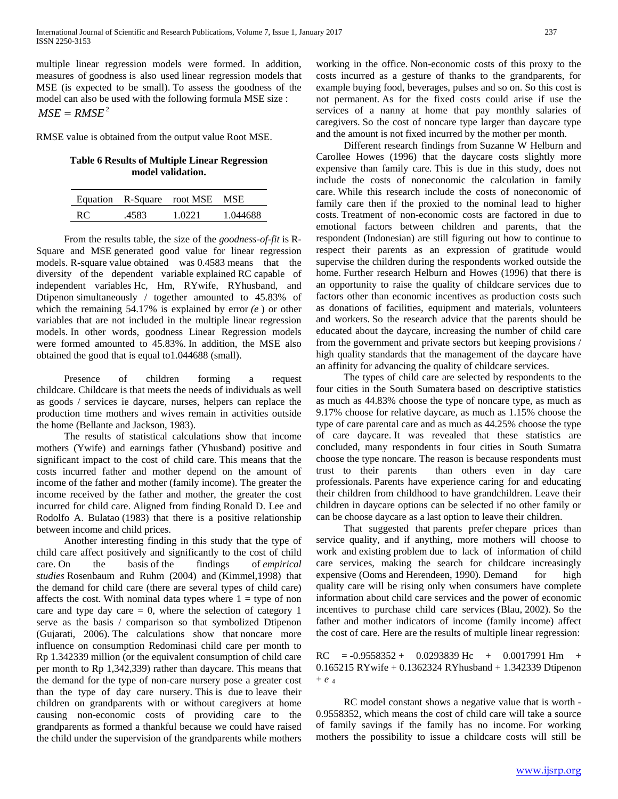multiple linear regression models were formed. In addition, measures of goodness is also used linear regression models that MSE (is expected to be small). To assess the goodness of the model can also be used with the following formula MSE size :  $MSE = RMSE^2$ 

RMSE value is obtained from the output value Root MSE.

## **Table 6 Results of Multiple Linear Regression model validation.**

|    |       | Equation R-Square root MSE MSE |          |
|----|-------|--------------------------------|----------|
| RC | .4583 | 1.0221                         | 1.044688 |

 From the results table, the size of the *goodness-of-fit* is R-Square and MSE generated good value for linear regression models. R-square value obtained was 0.4583 means that the diversity of the dependent variable explained RC capable of independent variables Hc, Hm, RYwife, RYhusband, and Dtipenon simultaneously / together amounted to 45.83% of which the remaining 54.17% is explained by error *(e* ) or other variables that are not included in the multiple linear regression models. In other words, goodness Linear Regression models were formed amounted to 45.83%. In addition, the MSE also obtained the good that is equal to1.044688 (small).

 Presence of children forming a request childcare. Childcare is that meets the needs of individuals as well as goods / services ie daycare, nurses, helpers can replace the production time mothers and wives remain in activities outside the home (Bellante and Jackson, 1983).

 The results of statistical calculations show that income mothers (Ywife) and earnings father (Yhusband) positive and significant impact to the cost of child care. This means that the costs incurred father and mother depend on the amount of income of the father and mother (family income). The greater the income received by the father and mother, the greater the cost incurred for child care. Aligned from finding Ronald D. Lee and Rodolfo A. Bulatao (1983) that there is a positive relationship between income and child prices.

 Another interesting finding in this study that the type of child care affect positively and significantly to the cost of child care. On the basis of the findings of *empirical studies* Rosenbaum and Ruhm (2004) and (Kimmel,1998) that the demand for child care (there are several types of child care) affects the cost. With nominal data types where  $1 =$  type of non care and type day care  $= 0$ , where the selection of category 1 serve as the basis / comparison so that symbolized Dtipenon (Gujarati, 2006). The calculations show that noncare more influence on consumption Redominasi child care per month to Rp 1.342339 million (or the equivalent consumption of child care per month to Rp 1,342,339) rather than daycare. This means that the demand for the type of non-care nursery pose a greater cost than the type of day care nursery. This is due to leave their children on grandparents with or without caregivers at home causing non-economic costs of providing care to the grandparents as formed a thankful because we could have raised the child under the supervision of the grandparents while mothers working in the office. Non-economic costs of this proxy to the costs incurred as a gesture of thanks to the grandparents, for example buying food, beverages, pulses and so on. So this cost is not permanent. As for the fixed costs could arise if use the services of a nanny at home that pay monthly salaries of caregivers. So the cost of noncare type larger than daycare type and the amount is not fixed incurred by the mother per month.

 Different research findings from Suzanne W Helburn and Carollee Howes (1996) that the daycare costs slightly more expensive than family care. This is due in this study, does not include the costs of noneconomic the calculation in family care. While this research include the costs of noneconomic of family care then if the proxied to the nominal lead to higher costs. Treatment of non-economic costs are factored in due to emotional factors between children and parents, that the respondent (Indonesian) are still figuring out how to continue to respect their parents as an expression of gratitude would supervise the children during the respondents worked outside the home. Further research Helburn and Howes (1996) that there is an opportunity to raise the quality of childcare services due to factors other than economic incentives as production costs such as donations of facilities, equipment and materials, volunteers and workers. So the research advice that the parents should be educated about the daycare, increasing the number of child care from the government and private sectors but keeping provisions / high quality standards that the management of the daycare have an affinity for advancing the quality of childcare services.

 The types of child care are selected by respondents to the four cities in the South Sumatera based on descriptive statistics as much as 44.83% choose the type of noncare type, as much as 9.17% choose for relative daycare, as much as 1.15% choose the type of care parental care and as much as 44.25% choose the type of care daycare. It was revealed that these statistics are concluded, many respondents in four cities in South Sumatra choose the type noncare. The reason is because respondents must trust to their parents than others even in day care professionals. Parents have experience caring for and educating their children from childhood to have grandchildren. Leave their children in daycare options can be selected if no other family or can be choose daycare as a last option to leave their children.

 That suggested that parents prefer chepare prices than service quality, and if anything, more mothers will choose to work and existing problem due to lack of information of child care services, making the search for childcare increasingly expensive (Ooms and Herendeen, 1990). Demand for high quality care will be rising only when consumers have complete information about child care services and the power of economic incentives to purchase child care services (Blau, 2002). So the father and mother indicators of income (family income) affect the cost of care. Here are the results of multiple linear regression:

RC = -0.9558352 + 0.0293839 Hc + 0.0017991 Hm + 0.165215 RYwife + 0.1362324 RYhusband + 1.342339 Dtipenon  $+$  *e*  $_4$ 

 RC model constant shows a negative value that is worth - 0.9558352, which means the cost of child care will take a source of family savings if the family has no income. For working mothers the possibility to issue a childcare costs will still be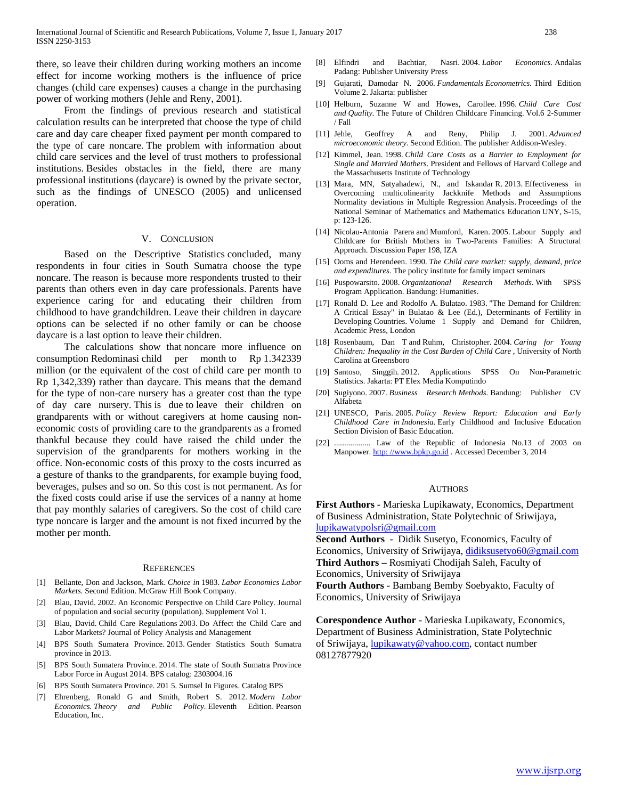there, so leave their children during working mothers an income effect for income working mothers is the influence of price changes (child care expenses) causes a change in the purchasing power of working mothers (Jehle and Reny, 2001).

 From the findings of previous research and statistical calculation results can be interpreted that choose the type of child care and day care cheaper fixed payment per month compared to the type of care noncare. The problem with information about child care services and the level of trust mothers to professional institutions. Besides obstacles in the field, there are many professional institutions (daycare) is owned by the private sector, such as the findings of UNESCO (2005) and unlicensed operation.

#### V. CONCLUSION

 Based on the Descriptive Statistics concluded, many respondents in four cities in South Sumatra choose the type noncare. The reason is because more respondents trusted to their parents than others even in day care professionals. Parents have experience caring for and educating their children from childhood to have grandchildren. Leave their children in daycare options can be selected if no other family or can be choose daycare is a last option to leave their children.

 The calculations show that noncare more influence on consumption Redominasi child per month to Rp 1.342339 million (or the equivalent of the cost of child care per month to Rp 1,342,339) rather than daycare. This means that the demand for the type of non-care nursery has a greater cost than the type of day care nursery. This is due to leave their children on grandparents with or without caregivers at home causing noneconomic costs of providing care to the grandparents as a fromed thankful because they could have raised the child under the supervision of the grandparents for mothers working in the office. Non-economic costs of this proxy to the costs incurred as a gesture of thanks to the grandparents, for example buying food, beverages, pulses and so on. So this cost is not permanent. As for the fixed costs could arise if use the services of a nanny at home that pay monthly salaries of caregivers. So the cost of child care type noncare is larger and the amount is not fixed incurred by the mother per month.

#### **REFERENCES**

- [1] Bellante, Don and Jackson, Mark. *Choice in* 1983. *Labor Economics Labor Markets.* Second Edition. McGraw Hill Book Company.
- [2] Blau, David. 2002. An Economic Perspective on Child Care Policy. Journal of population and social security (population). Supplement Vol 1.
- [3] Blau, David. Child Care Regulations 2003. Do Affect the Child Care and Labor Markets? Journal of Policy Analysis and Management
- [4] BPS South Sumatera Province. 2013. Gender Statistics South Sumatra province in 2013.
- [5] BPS South Sumatera Province. 2014. The state of South Sumatra Province Labor Force in August 2014. BPS catalog: 2303004.16
- [6] BPS South Sumatera Province. 201 5. Sumsel In Figures. Catalog BPS
- [7] Ehrenberg, Ronald G and Smith, Robert S. 2012. *Modern Labor Economics. Theory and Public Policy.* Eleventh Edition. Pearson Education, Inc.
- [8] Elfindri and Bachtiar, Nasri. 2004. *Labor Economics.* Andalas Padang: Publisher University Press
- [9] Gujarati, Damodar N. 2006. *Fundamentals Econometrics.* Third Edition Volume 2. Jakarta: publisher
- [10] Helburn, Suzanne W and Howes, Carollee. 1996. *Child Care Cost and Quality.* The Future of Children Childcare Financing. Vol.6 2-Summer / Fall
- [11] Jehle, Geoffrey A and Reny, Philip J. 2001. *Advanced microeconomic theory.* Second Edition. The publisher Addison-Wesley.
- [12] Kimmel, Jean. 1998. *Child Care Costs as a Barrier to Employment for Single and Married Mothers.* President and Fellows of Harvard College and the Massachusetts Institute of Technology
- [13] Mara, MN, Satyahadewi, N., and Iskandar R. 2013. Effectiveness in Overcoming multicolinearity Jackknife Methods and Assumptions Normality deviations in Multiple Regression Analysis. Proceedings of the National Seminar of Mathematics and Mathematics Education UNY, S-15, p: 123-126.
- [14] Nicolau-Antonia Parera and Mumford, Karen. 2005. Labour Supply and Childcare for British Mothers in Two-Parents Families: A Structural Approach. Discussion Paper 198, IZA
- [15] Ooms and Herendeen. 1990. *The Child care market: supply, demand, price and expenditures.* The policy institute for family impact seminars
- [16] Puspowarsito. 2008. *Organizational Research Methods.* With SPSS Program Application. Bandung: Humanities.
- [17] Ronald D. Lee and Rodolfo A. Bulatao. 1983. "The Demand for Children: A Critical Essay" in Bulatao & Lee (Ed.), Determinants of Fertility in Developing Countries. Volume 1 Supply and Demand for Children, Academic Press, London
- [18] Rosenbaum, Dan T and Ruhm, Christopher. 2004. *Caring for Young Children: Inequality in the Cost Burden of Child Care* , University of North Carolina at Greensboro
- [19] Santoso, Singgih. 2012. Applications SPSS On Non-Parametric Statistics. Jakarta: PT Elex Media Komputindo
- [20] Sugiyono. 2007. *Business Research Methods.* Bandung: Publisher CV Alfabeta
- [21] UNESCO, Paris. 2005. *Policy Review Report: Education and Early Childhood Care in Indonesia.* Early Childhood and Inclusive Education Section Division of Basic Education.
- [22] .................. Law of the Republic of Indonesia No.13 of 2003 on Manpower. http:[//www.bpkp.go.id](https://translate.google.com/translate?hl=id&prev=_t&sl=id&tl=en&u=http://www.bpkp.go.id). Accessed December 3, 2014

#### AUTHORS

**First Authors -** Marieska Lupikawaty, Economics, Department of Business Administration, State Polytechnic of Sriwijaya, [lupikawatypolsri@gmail.com](mailto:lupikawatypolsri@gmail.com)

**Second Authors -** Didik Susetyo, Economics, Faculty of Economics, University of Sriwijaya, [didiksusetyo60@gmail.com](mailto:didiksusetyo60@gmail.com) **Third Authors –** Rosmiyati Chodijah Saleh, Faculty of

Economics, University of Sriwijaya

**Fourth Authors -** Bambang Bemby Soebyakto, Faculty of Economics, University of Sriwijaya

**Corespondence Author -** Marieska Lupikawaty, Economics, Department of Business Administration, State Polytechnic of Sriwijaya, [lupikawaty@yahoo.com,](mailto:lupikawaty@yahoo.com) contact number 08127877920